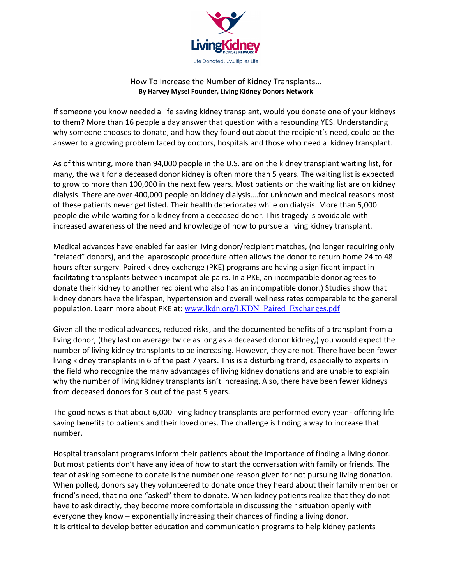

## How To Increase the Number of Kidney Transplants… By Harvey Mysel Founder, Living Kidney Donors Network

If someone you know needed a life saving kidney transplant, would you donate one of your kidneys to them? More than 16 people a day answer that question with a resounding YES. Understanding why someone chooses to donate, and how they found out about the recipient's need, could be the answer to a growing problem faced by doctors, hospitals and those who need a kidney transplant.

As of this writing, more than 94,000 people in the U.S. are on the kidney transplant waiting list, for many, the wait for a deceased donor kidney is often more than 5 years. The waiting list is expected to grow to more than 100,000 in the next few years. Most patients on the waiting list are on kidney dialysis. There are over 400,000 people on kidney dialysis….for unknown and medical reasons most of these patients never get listed. Their health deteriorates while on dialysis. More than 5,000 people die while waiting for a kidney from a deceased donor. This tragedy is avoidable with increased awareness of the need and knowledge of how to pursue a living kidney transplant.

Medical advances have enabled far easier living donor/recipient matches, (no longer requiring only "related" donors), and the laparoscopic procedure often allows the donor to return home 24 to 48 hours after surgery. Paired kidney exchange (PKE) programs are having a significant impact in facilitating transplants between incompatible pairs. In a PKE, an incompatible donor agrees to donate their kidney to another recipient who also has an incompatible donor.) Studies show that kidney donors have the lifespan, hypertension and overall wellness rates comparable to the general population. Learn more about PKE at: www.lkdn.org/LKDN\_Paired\_Exchanges.pdf

Given all the medical advances, reduced risks, and the documented benefits of a transplant from a living donor, (they last on average twice as long as a deceased donor kidney,) you would expect the number of living kidney transplants to be increasing. However, they are not. There have been fewer living kidney transplants in 6 of the past 7 years. This is a disturbing trend, especially to experts in the field who recognize the many advantages of living kidney donations and are unable to explain why the number of living kidney transplants isn't increasing. Also, there have been fewer kidneys from deceased donors for 3 out of the past 5 years.

The good news is that about 6,000 living kidney transplants are performed every year - offering life saving benefits to patients and their loved ones. The challenge is finding a way to increase that number.

Hospital transplant programs inform their patients about the importance of finding a living donor. But most patients don't have any idea of how to start the conversation with family or friends. The fear of asking someone to donate is the number one reason given for not pursuing living donation. When polled, donors say they volunteered to donate once they heard about their family member or friend's need, that no one "asked" them to donate. When kidney patients realize that they do not have to ask directly, they become more comfortable in discussing their situation openly with everyone they know – exponentially increasing their chances of finding a living donor. It is critical to develop better education and communication programs to help kidney patients